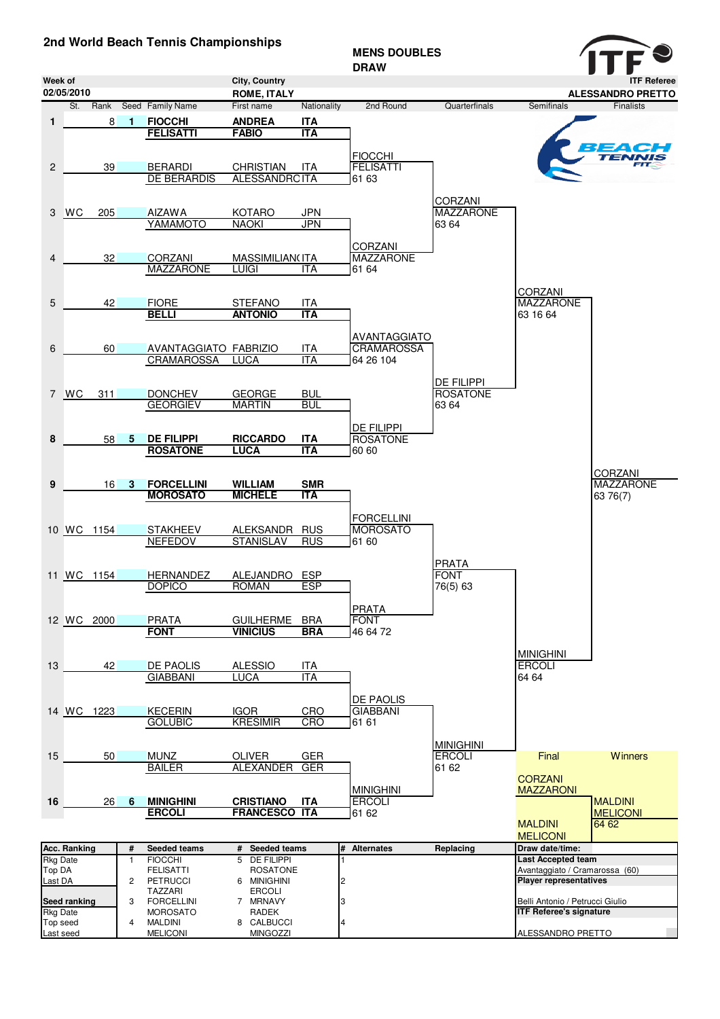